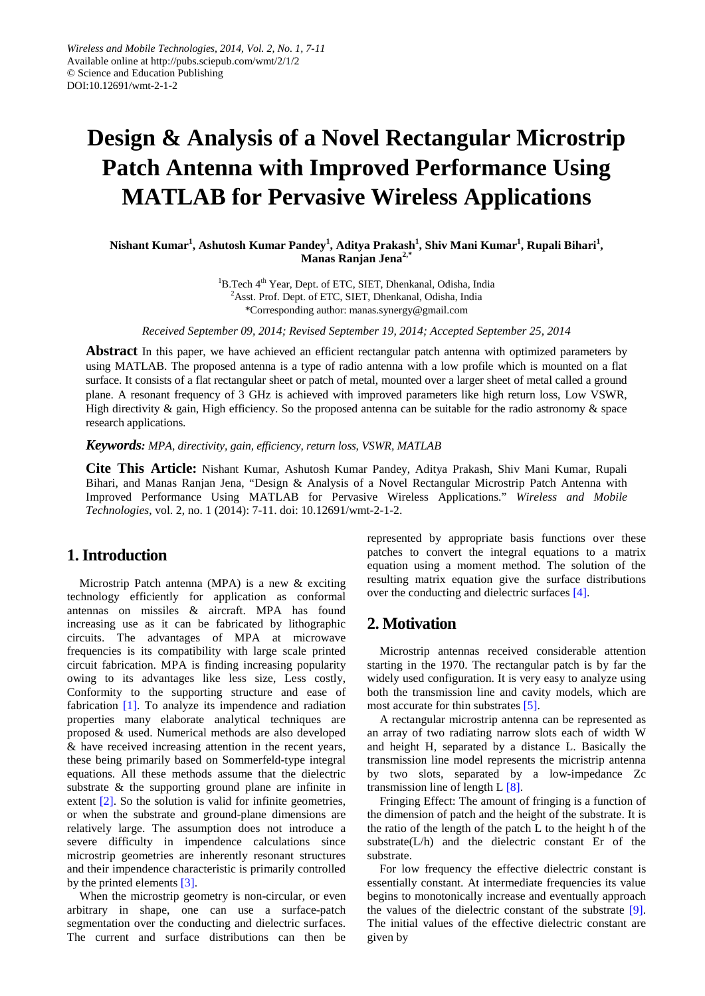# **Design & Analysis of a Novel Rectangular Microstrip Patch Antenna with Improved Performance Using MATLAB for Pervasive Wireless Applications**

**Nishant Kumar<sup>1</sup> , Ashutosh Kumar Pandey<sup>1</sup> , Aditya Prakash1 , Shiv Mani Kumar<sup>1</sup> , Rupali Bihari1 , Manas Ranjan Jena2,\***

> <sup>1</sup>B.Tech 4<sup>th</sup> Year, Dept. of ETC, SIET, Dhenkanal, Odisha, India <sup>2</sup> Asst. Prof. Dept. of ETC, SIET, Dhenkanal, Odisha, India \*Corresponding author: manas.synergy@gmail.com

*Received September 09, 2014; Revised September 19, 2014; Accepted September 25, 2014*

**Abstract** In this paper, we have achieved an efficient rectangular patch antenna with optimized parameters by using MATLAB. The proposed antenna is a type of radio antenna with a low profile which is mounted on a flat surface. It consists of a flat rectangular sheet or patch of metal, mounted over a larger sheet of metal called a ground plane. A resonant frequency of 3 GHz is achieved with improved parameters like high return loss, Low VSWR, High directivity  $\&$  gain, High efficiency. So the proposed antenna can be suitable for the radio astronomy  $\&$  space research applications.

*Keywords: MPA, directivity, gain, efficiency, return loss, VSWR, MATLAB*

**Cite This Article:** Nishant Kumar, Ashutosh Kumar Pandey, Aditya Prakash, Shiv Mani Kumar, Rupali Bihari, and Manas Ranjan Jena, "Design & Analysis of a Novel Rectangular Microstrip Patch Antenna with Improved Performance Using MATLAB for Pervasive Wireless Applications." *Wireless and Mobile Technologies*, vol. 2, no. 1 (2014): 7-11. doi: 10.12691/wmt-2-1-2.

### **1. Introduction**

Microstrip Patch antenna (MPA) is a new & exciting technology efficiently for application as conformal antennas on missiles & aircraft. MPA has found increasing use as it can be fabricated by lithographic circuits. The advantages of MPA at microwave frequencies is its compatibility with large scale printed circuit fabrication. MPA is finding increasing popularity owing to its advantages like less size, Less costly, Conformity to the supporting structure and ease of fabrication [\[1\].](#page-4-0) To analyze its impendence and radiation properties many elaborate analytical techniques are proposed & used. Numerical methods are also developed & have received increasing attention in the recent years, these being primarily based on Sommerfeld-type integral equations. All these methods assume that the dielectric substrate & the supporting ground plane are infinite in extent [\[2\].](#page-4-1) So the solution is valid for infinite geometries, or when the substrate and ground-plane dimensions are relatively large. The assumption does not introduce a severe difficulty in impendence calculations since microstrip geometries are inherently resonant structures and their impendence characteristic is primarily controlled by the printed elements [\[3\].](#page-4-2)

When the microstrip geometry is non-circular, or even arbitrary in shape, one can use a surface-patch segmentation over the conducting and dielectric surfaces. The current and surface distributions can then be

represented by appropriate basis functions over these patches to convert the integral equations to a matrix equation using a moment method. The solution of the resulting matrix equation give the surface distributions over the conducting and dielectric surfaces [\[4\].](#page-4-3)

## **2. Motivation**

Microstrip antennas received considerable attention starting in the 1970. The rectangular patch is by far the widely used configuration. It is very easy to analyze using both the transmission line and cavity models, which are most accurate for thin substrates [\[5\].](#page-4-4)

A rectangular microstrip antenna can be represented as an array of two radiating narrow slots each of width W and height H, separated by a distance L. Basically the transmission line model represents the micristrip antenna by two slots, separated by a low-impedance Zc transmission line of length L [\[8\].](#page-4-5)

Fringing Effect: The amount of fringing is a function of the dimension of patch and the height of the substrate. It is the ratio of the length of the patch L to the height h of the substrate $(L/h)$  and the dielectric constant Er of the substrate.

For low frequency the effective dielectric constant is essentially constant. At intermediate frequencies its value begins to monotonically increase and eventually approach the values of the dielectric constant of the substrate [\[9\].](#page-4-6) The initial values of the effective dielectric constant are given by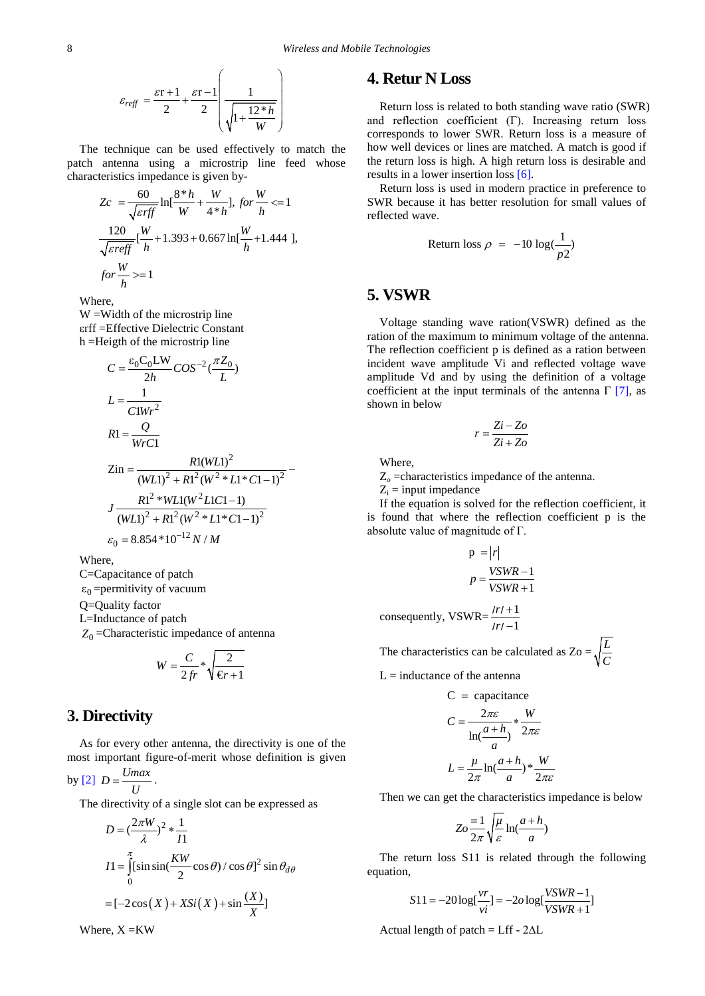$$
\varepsilon_{\text{reff}} = \frac{\varepsilon r + 1}{2} + \frac{\varepsilon r - 1}{2} \left( \frac{1}{\sqrt{1 + \frac{12 * h}{W}}} \right)
$$

The technique can be used effectively to match the patch antenna using a microstrip line feed whose characteristics impedance is given by-

$$
Zc = \frac{60}{\sqrt{\varepsilon r f f}} \ln[\frac{8 * h}{W} + \frac{W}{4 * h}], \text{ for } \frac{W}{h} <= 1
$$
\n
$$
\frac{120}{\sqrt{\varepsilon r f f}} [\frac{W}{h} + 1.393 + 0.667 \ln[\frac{W}{h} + 1.444],
$$
\n
$$
\text{for } \frac{W}{h} >= 1
$$

Where,

W =Width of the microstrip line εrff =Effective Dielectric Constant h =Heigth of the microstrip line

$$
C = \frac{\varepsilon_0 C_0 L W}{2h} \, COS^{-2} \left( \frac{\pi Z_0}{L} \right)
$$
\n
$$
L = \frac{1}{C 1 W r^2}
$$
\n
$$
R1 = \frac{Q}{W r C 1}
$$
\n
$$
Z \text{in} = \frac{R1 (W L 1)^2}{(W L 1)^2 + R 1^2 (W^2 * L 1 * C 1 - 1)^2}
$$
\n
$$
J \frac{R 1^2 * W L 1 (W^2 L 1 C 1 - 1)}{(W L 1)^2 + R 1^2 (W^2 * L 1 * C 1 - 1)^2}
$$
\n
$$
\varepsilon_0 = 8.854 * 10^{-12} N / M
$$

Where,

C=Capacitance of patch  $\varepsilon_0$  =permitivity of vacuum Q=Quality factor L=Inductance of patch  $Z_0$  = Characteristic impedance of antenna

$$
W = \frac{C}{2fr} * \sqrt{\frac{2}{\Theta + 1}}
$$

## **3. Directivity**

As for every other antenna, the directivity is one of the most important figure-of-merit whose definition is given

by [2] 
$$
D = \frac{Umax}{U}
$$
.

The directivity of a single slot can be expressed as

$$
D = \left(\frac{2\pi W}{\lambda}\right)^2 * \frac{1}{I1}
$$
  
\n
$$
I1 = \int_0^{\pi} [\sin \sin(\frac{KW}{2}\cos\theta) / \cos\theta]^2 \sin\theta_{d\theta}
$$
  
\n
$$
= [-2\cos(X) + XSi(X) + \sin(\frac{X}{X})]
$$

Where,  $X = KW$ 

# **4. Retur N Loss**

Return loss is related to both standing wave ratio (SWR) and reflection coefficient (Γ). Increasing return loss corresponds to lower SWR. Return loss is a measure of how well devices or lines are matched. A match is good if the return loss is high. A high return loss is desirable and results in a lower insertion loss [\[6\].](#page-4-7)

Return loss is used in modern practice in preference to SWR because it has better resolution for small values of reflected wave.

$$
Return loss \rho = -10 log(\frac{1}{p^2})
$$

# **5. VSWR**

Voltage standing wave ration(VSWR) defined as the ration of the maximum to minimum voltage of the antenna. The reflection coefficient p is defined as a ration between incident wave amplitude Vi and reflected voltage wave amplitude Vd and by using the definition of a voltage coefficient at the input terminals of the antenna  $\Gamma$  [\[7\],](#page-4-8) as shown in below

$$
r = \frac{Zi - Zo}{Zi + Zo}
$$

Where

 $Z_0$  =characteristics impedance of the antenna.

 $Z_i$  = input impedance

If the equation is solved for the reflection coefficient, it is found that where the reflection coefficient p is the absolute value of magnitude of Г.

$$
p = |r|
$$
  

$$
p = \frac{VSWR - 1}{VSWR + 1}
$$

consequently, VSWR= $\frac{|r|+1}{1}$ 1 *ʜrʜ ʜrʜ* + −

The characteristics can be calculated as  $Zo = \sqrt{\frac{L}{C}}$ 

 $L =$  inductance of the antenna

$$
C = \text{capacitance}
$$
  
\n
$$
C = \frac{2\pi\varepsilon}{\ln(\frac{a+h}{a})} * \frac{W}{2\pi\varepsilon}
$$
  
\n
$$
L = \frac{\mu}{2\pi} \ln(\frac{a+h}{a}) * \frac{W}{2\pi\varepsilon}
$$

Then we can get the characteristics impedance is below

$$
Zo \frac{=1}{2\pi} \sqrt{\frac{\mu}{\varepsilon}} \ln(\frac{a+h}{a})
$$

The return loss S11 is related through the following equation,

$$
S11 = -20\log[\frac{vr}{vi}] = -20\log[\frac{VSWR - 1}{VSWR + 1}]
$$

Actual length of patch = Lff - 2∆L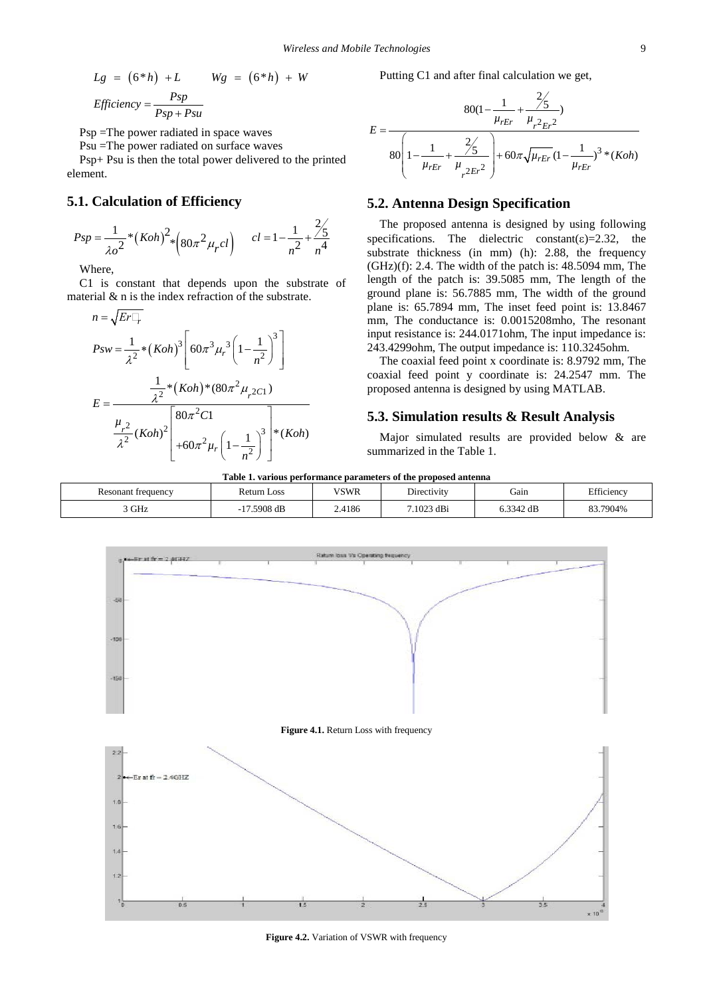$$
Lg = (6*h) + L \qquad Wg = (6*h) + W
$$
  
Efficiency = 
$$
\frac{Psp}{Psp + Psu}
$$

Psp =The power radiated in space waves

Psu =The power radiated on surface waves

Psp+ Psu is then the total power delivered to the printed element.

#### **5.1. Calculation of Efficiency**

$$
Psp = \frac{1}{\lambda o^2} * (Koh)^2 * (80\pi^2 \mu_r cl) \qquad cl = 1 - \frac{1}{n^2} + \frac{2/5}{n^4}
$$

Where,

C1 is constant that depends upon the substrate of material & n is the index refraction of the substrate.

$$
n = \sqrt{Er} \sqrt{\frac{Fr}{\lambda^{2}}} * (Koh)^{3} \left[ 60\pi^{3} \mu_{r}^{3} \left( 1 - \frac{1}{n^{2}} \right)^{3} \right]
$$
  

$$
E = \frac{\frac{1}{\lambda^{2}} * (Koh)^{3} (80\pi^{2} \mu_{r} 2C1)}{\frac{\mu_{r^{2}}}{\lambda^{2}} (Koh)^{2} \left[ 80\pi^{2} C1 + 60\pi^{2} \mu_{r} \left( 1 - \frac{1}{n^{2}} \right)^{3} \right] * (Koh)}
$$

Putting C1 and after final calculation we get,

$$
E = \frac{80(1 - \frac{1}{\mu_{rEr}} + \frac{2/}{\mu_{r2}P}\mu_{r2})}{80\left(1 - \frac{1}{\mu_{rEr}} + \frac{2/}{\mu_{r2}P}\mu_{r2}\right) + 60\pi\sqrt{\mu_{rEr}}(1 - \frac{1}{\mu_{rEr}})^3 * (Koh)}
$$

#### **5.2. Antenna Design Specification**

The proposed antenna is designed by using following specifications. The dielectric constant( $\varepsilon$ )=2.32, the substrate thickness (in mm) (h): 2.88, the frequency  $(GHz)(f)$ : 2.4. The width of the patch is: 48.5094 mm, The length of the patch is: 39.5085 mm, The length of the ground plane is: 56.7885 mm, The width of the ground plane is: 65.7894 mm, The inset feed point is: 13.8467 mm, The conductance is: 0.0015208mho, The resonant input resistance is: 244.0171ohm, The input impedance is: 243.4299ohm, The output impedance is: 110.3245ohm.

The coaxial feed point x coordinate is: 8.9792 mm, The coaxial feed point y coordinate is: 24.2547 mm. The proposed antenna is designed by using MATLAB.

#### **5.3. Simulation results & Result Analysis**

Major simulated results are provided below & are summarized in the Table 1.

| Table 1. various performance parameters of the proposed antenna |  |
|-----------------------------------------------------------------|--|
|-----------------------------------------------------------------|--|

| Resonant frequency | Loss<br>Return | 'SWR  | Directivity                                      | Gain                            | $-$ 0.00<br>Ticiency. |
|--------------------|----------------|-------|--------------------------------------------------|---------------------------------|-----------------------|
| GHz<br>___         | 5908 dB        | .4186 | !3 dB<br>1023<br>the contract of the contract of | $\sim$<br><sub>dE</sub><br>334. | .7904%<br>$\Omega$    |



**Figure 4.2.** Variation of VSWR with frequency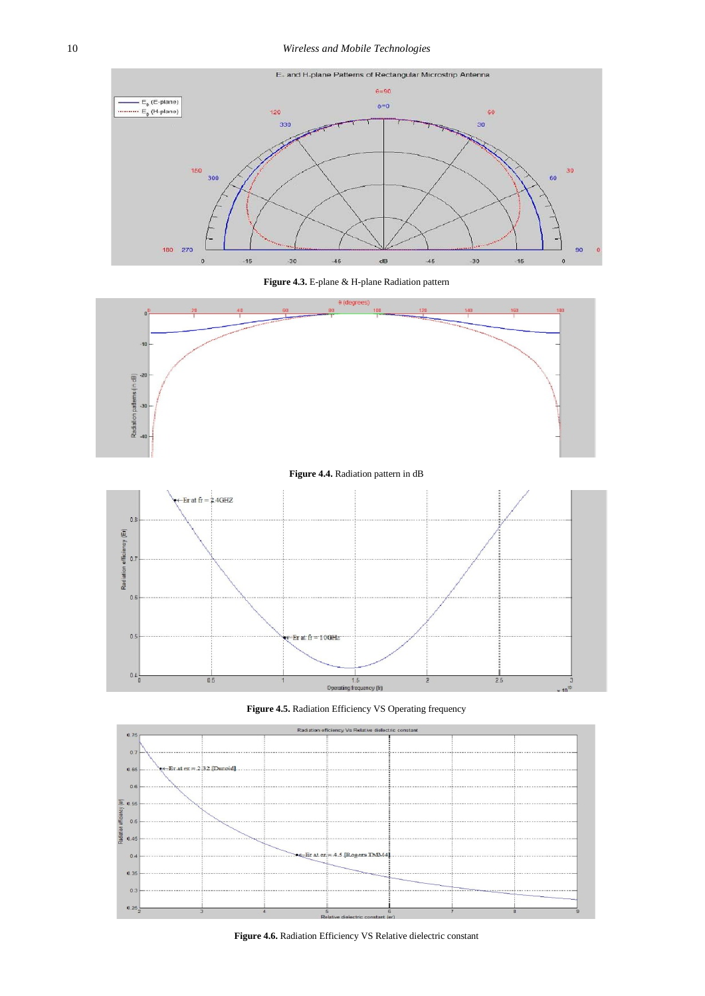

**Figure 4.3.** E-plane & H-plane Radiation pattern